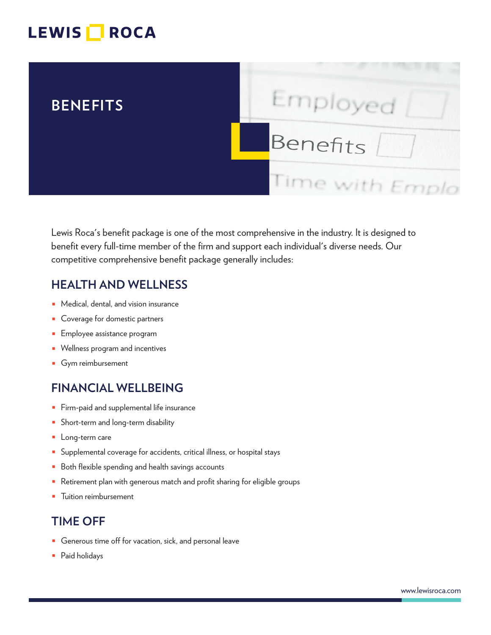# LEWIS **NOCA**



Lewis Roca's benefit package is one of the most comprehensive in the industry. It is designed to benefit every full-time member of the firm and support each individual's diverse needs. Our competitive comprehensive benefit package generally includes:

#### **HEALTH AND WELLNESS**

- Medical, dental, and vision insurance
- Coverage for domestic partners
- Employee assistance program
- Wellness program and incentives
- Gym reimbursement

### **FINANCIAL WELLBEING**

- Firm-paid and supplemental life insurance
- Short-term and long-term disability
- Long-term care
- Supplemental coverage for accidents, critical illness, or hospital stays
- Both flexible spending and health savings accounts
- Retirement plan with generous match and profit sharing for eligible groups
- Tuition reimbursement

### **TIME OFF**

- Generous time off for vacation, sick, and personal leave
- Paid holidays